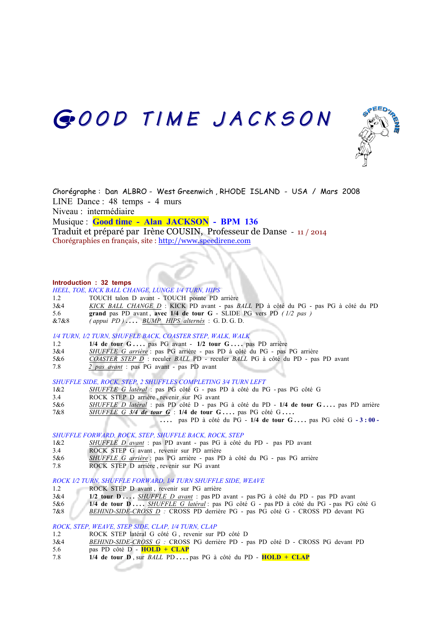# GOOD TIME JACKSON



Chorégraphe : Dan ALBRO - West Greenwich , RHODE ISLAND - USA / Mars 2008 LINE Dance : 48 temps - 4 murs Niveau : intermédiaire Musique : **Good time - Alan JACKSON - BPM 136** Traduit et préparé par Irène COUSIN, Professeur de Danse - 11 / 2014 Chorégraphies en français, site : http://www.speedirene.com

### **Introduction : 32 temps**

*HEEL, TOE, KICK BALL CHANGE, LUNGE 1⁄4 TURN, HIPS*

- 1.2 TOUCH talon D avant TOUCH pointe PD arrière
- 3&4 *KICK BALL CHANGE D* : KICK PD avant pas *BALL* PD à côté du PG pas PG à côté du PD
- 5.6 **grand** pas PD avant , **avec 1/4 de tour G** SLIDE PG vers PD *( 1/2 pas )*
- &7&8 *( appui PD )* **. . . .** *BUMP HIPS alternés* : G. D. G. D.

# *1⁄4 TURN, 1⁄2 TURN, SHUFFLE BACK, COASTER STEP, WALK, WALK*

- 1.2 **1/4 de tour G** ... . pas PG avant **1/2 tour G** ... . pas PD arrière 3&4 *SHUFFLE G arrière* : pas PG arrière pas PD à côté du PG pas
- 3&4 *SHUFFLE G arrière* : pas PG arrière pas PD à côté du PG pas PG arrière
- 5&6 *COASTER STEP D* : reculer *BALL* PD reculer *BALL* PG à côté du PD pas PD avant
- 7.8 *2 pas avant* : pas PG avant pas PD avant

### *SHUFFLE SIDE, ROCK, STEP, 2 SHUFFLES COMPLETING 3⁄4 TURN LEFT*

- 1&2 *SHUFFLE G latéral* : pas PG côté G pas PD à côté du PG pas PG côté G
- 3.4 ROCK STEP D arrière , revenir sur PG avant
- 5&6 *SHUFFLE D latéral* : pas PD côté D pas PG à côté du PD **1/4 de tour G . . . .** pas PD arrière
- 7&8 *SHUFFLE G 3/4 de tour G* : **1/4 de tour G . . . .** pas PG côté G **. . . .**
	- **. . . .** pas PD à côté du PG **1/4 de tour G . . . .** pas PG côté G **- 3 : 00 -**

### *SHUFFLE FORWARD, ROCK, STEP, SHUFFLE BACK, ROCK, STEP*

- 1&2 *SHUFFLE D avant* : pas PD avant pas PG à côté du PD pas PD avant
- 3.4 ROCK STEP G avant , revenir sur PD arrière
- 5&6 *SHUFFLE G arrière* : pas PG arrière pas PD à côté du PG pas PG arrière
- 7.8 ROCK STEP D arrière , revenir sur PG avant

#### *ROCK 1⁄2 TURN, SHUFFLE FORWARD, 1⁄4 TURN SHUFFLE SIDE, WEAVE*

- 1.2 ROCK STEP D avant, revenir sur PG arrière
- 3&4 **1/2 tour D . . . .** *SHUFFLE D avant* : pas PD avant pas PG à côté du PD pas PD avant
- 5&6 **1/4 de tour D . . . .** *SHUFFLE G latéral* : pas PG côté G pas PD à côté du PG pas PG côté G
- 7&8 *BEHIND-SIDE-CROSS D :* CROSS PD derrière PG pas PG côté G CROSS PD devant PG

## *ROCK, STEP, WEAVE, STEP SIDE, CLAP, 1⁄4 TURN, CLAP*

- 1.2 ROCK STEP latéral G côté G , revenir sur PD côté D
- 3&4 *BEHIND-SIDE-CROSS G :* CROSS PG derrière PD pas PD côté D CROSS PG devant PD
- 5.6 pas PD côté D **HOLD + CLAP**
- 7.8 **1/4 de tour D** , sur *BALL* PD **. . . .** pas PG à côté du PD **HOLD + CLAP**